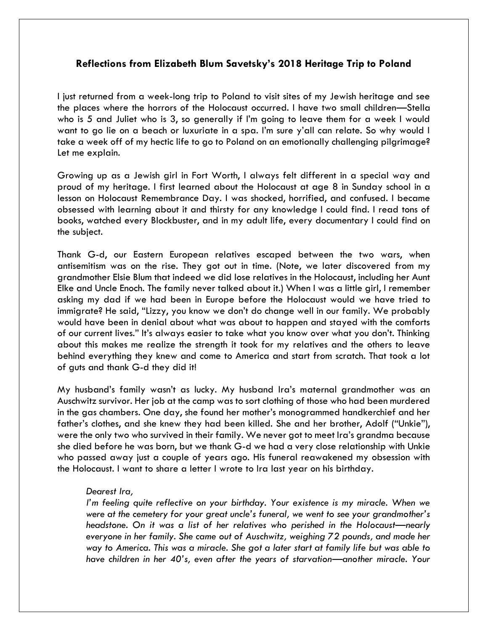## **Reflections from Elizabeth Blum Savetsky's 2018 Heritage Trip to Poland**

I just returned from a week-long trip to Poland to visit sites of my Jewish heritage and see the places where the horrors of the Holocaust occurred. I have two small children—Stella who is 5 and Juliet who is 3, so generally if I'm going to leave them for a week I would want to go lie on a beach or luxuriate in a spa. I'm sure y'all can relate. So why would I take a week off of my hectic life to go to Poland on an emotionally challenging pilgrimage? Let me explain.

Growing up as a Jewish girl in Fort Worth, I always felt different in a special way and proud of my heritage. I first learned about the Holocaust at age 8 in Sunday school in a lesson on Holocaust Remembrance Day. I was shocked, horrified, and confused. I became obsessed with learning about it and thirsty for any knowledge I could find. I read tons of books, watched every Blockbuster, and in my adult life, every documentary I could find on the subject.

Thank G-d, our Eastern European relatives escaped between the two wars, when antisemitism was on the rise. They got out in time. (Note, we later discovered from my grandmother Elsie Blum that indeed we did lose relatives in the Holocaust, including her Aunt Elke and Uncle Enoch. The family never talked about it.) When I was a little girl, I remember asking my dad if we had been in Europe before the Holocaust would we have tried to immigrate? He said, "Lizzy, you know we don't do change well in our family. We probably would have been in denial about what was about to happen and stayed with the comforts of our current lives." It's always easier to take what you know over what you don't. Thinking about this makes me realize the strength it took for my relatives and the others to leave behind everything they knew and come to America and start from scratch. That took a lot of guts and thank G-d they did it!

My husband's family wasn't as lucky. My husband Ira's maternal grandmother was an Auschwitz survivor. Her job at the camp was to sort clothing of those who had been murdered in the gas chambers. One day, she found her mother's monogrammed handkerchief and her father's clothes, and she knew they had been killed. She and her brother, Adolf ("Unkie"), were the only two who survived in their family. We never got to meet Ira's grandma because she died before he was born, but we thank G-d we had a very close relationship with Unkie who passed away just a couple of years ago. His funeral reawakened my obsession with the Holocaust. I want to share a letter I wrote to Ira last year on his birthday.

## *Dearest Ira,*

*I'm feeling quite reflective on your birthday. Your existence is my miracle. When we were at the cemetery for your great uncle's funeral, we went to see your grandmother's headstone. On it was a list of her relatives who perished in the Holocaust—nearly everyone in her family. She came out of Auschwitz, weighing 72 pounds, and made her way to America. This was a miracle. She got a later start at family life but was able to have children in her 40's, even after the years of starvation—another miracle. Your*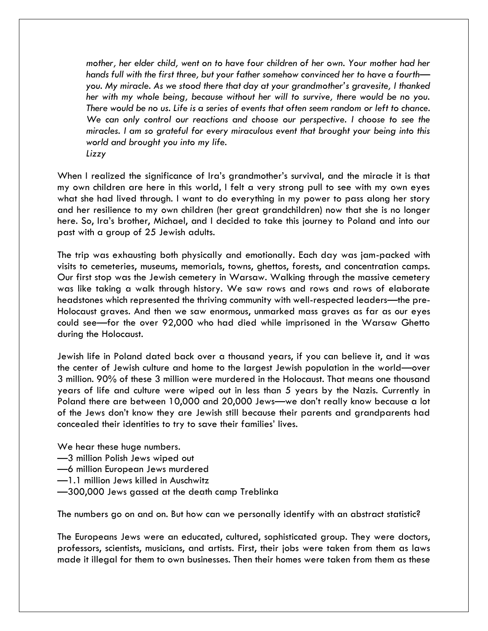*mother, her elder child, went on to have four children of her own. Your mother had her hands full with the first three, but your father somehow convinced her to have a fourth you. My miracle. As we stood there that day at your grandmother's gravesite, I thanked her with my whole being, because without her will to survive, there would be no you. There would be no us. Life is a series of events that often seem random or left to chance. We can only control our reactions and choose our perspective. I choose to see the miracles. I am so grateful for every miraculous event that brought your being into this world and brought you into my life. Lizzy*

When I realized the significance of Ira's grandmother's survival, and the miracle it is that my own children are here in this world, I felt a very strong pull to see with my own eyes what she had lived through. I want to do everything in my power to pass along her story and her resilience to my own children (her great grandchildren) now that she is no longer here. So, Ira's brother, Michael, and I decided to take this journey to Poland and into our past with a group of 25 Jewish adults.

The trip was exhausting both physically and emotionally. Each day was jam-packed with visits to cemeteries, museums, memorials, towns, ghettos, forests, and concentration camps. Our first stop was the Jewish cemetery in Warsaw. Walking through the massive cemetery was like taking a walk through history. We saw rows and rows and rows of elaborate headstones which represented the thriving community with well-respected leaders—the pre-Holocaust graves. And then we saw enormous, unmarked mass graves as far as our eyes could see—for the over 92,000 who had died while imprisoned in the Warsaw Ghetto during the Holocaust.

Jewish life in Poland dated back over a thousand years, if you can believe it, and it was the center of Jewish culture and home to the largest Jewish population in the world—over 3 million. 90% of these 3 million were murdered in the Holocaust. That means one thousand years of life and culture were wiped out in less than 5 years by the Nazis. Currently in Poland there are between 10,000 and 20,000 Jews—we don't really know because a lot of the Jews don't know they are Jewish still because their parents and grandparents had concealed their identities to try to save their families' lives.

We hear these huge numbers.

- —3 million Polish Jews wiped out
- —6 million European Jews murdered
- —1.1 million Jews killed in Auschwitz
- —300,000 Jews gassed at the death camp Treblinka

The numbers go on and on. But how can we personally identify with an abstract statistic?

The Europeans Jews were an educated, cultured, sophisticated group. They were doctors, professors, scientists, musicians, and artists. First, their jobs were taken from them as laws made it illegal for them to own businesses. Then their homes were taken from them as these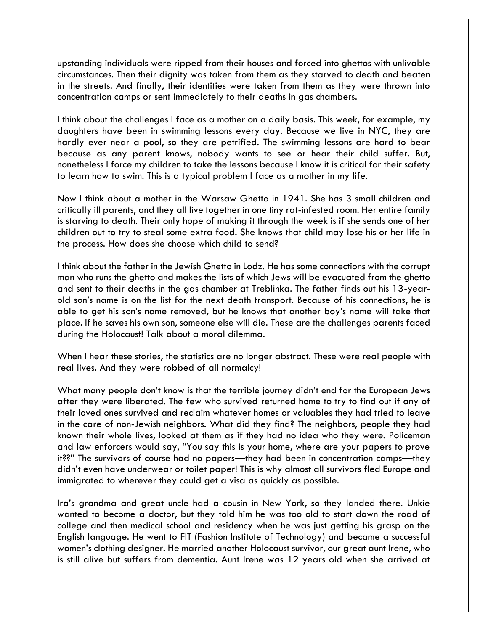upstanding individuals were ripped from their houses and forced into ghettos with unlivable circumstances. Then their dignity was taken from them as they starved to death and beaten in the streets. And finally, their identities were taken from them as they were thrown into concentration camps or sent immediately to their deaths in gas chambers.

I think about the challenges I face as a mother on a daily basis. This week, for example, my daughters have been in swimming lessons every day. Because we live in NYC, they are hardly ever near a pool, so they are petrified. The swimming lessons are hard to bear because as any parent knows, nobody wants to see or hear their child suffer. But, nonetheless I force my children to take the lessons because I know it is critical for their safety to learn how to swim. This is a typical problem I face as a mother in my life.

Now I think about a mother in the Warsaw Ghetto in 1941. She has 3 small children and critically ill parents, and they all live together in one tiny rat-infested room. Her entire family is starving to death. Their only hope of making it through the week is if she sends one of her children out to try to steal some extra food. She knows that child may lose his or her life in the process. How does she choose which child to send?

I think about the father in the Jewish Ghetto in Lodz. He has some connections with the corrupt man who runs the ghetto and makes the lists of which Jews will be evacuated from the ghetto and sent to their deaths in the gas chamber at Treblinka. The father finds out his 13-yearold son's name is on the list for the next death transport. Because of his connections, he is able to get his son's name removed, but he knows that another boy's name will take that place. If he saves his own son, someone else will die. These are the challenges parents faced during the Holocaust! Talk about a moral dilemma.

When I hear these stories, the statistics are no longer abstract. These were real people with real lives. And they were robbed of all normalcy!

What many people don't know is that the terrible journey didn't end for the European Jews after they were liberated. The few who survived returned home to try to find out if any of their loved ones survived and reclaim whatever homes or valuables they had tried to leave in the care of non-Jewish neighbors. What did they find? The neighbors, people they had known their whole lives, looked at them as if they had no idea who they were. Policeman and law enforcers would say, "You say this is your home, where are your papers to prove it??" The survivors of course had no papers—they had been in concentration camps—they didn't even have underwear or toilet paper! This is why almost all survivors fled Europe and immigrated to wherever they could get a visa as quickly as possible.

Ira's grandma and great uncle had a cousin in New York, so they landed there. Unkie wanted to become a doctor, but they told him he was too old to start down the road of college and then medical school and residency when he was just getting his grasp on the English language. He went to FIT (Fashion Institute of Technology) and became a successful women's clothing designer. He married another Holocaust survivor, our great aunt Irene, who is still alive but suffers from dementia. Aunt Irene was 12 years old when she arrived at